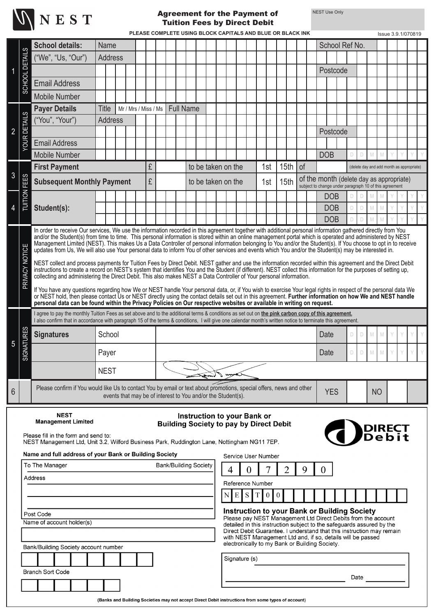

## Agreement for the Payment of Tuition Fees by Direct Debit

NEST Use Only

| PLEASE COMPLETE USING BLOCK CAPITALS AND BLUE OR BLACK INK                                                                                                                                |                         |                                                                                                                                                                                                                                                                                                                            |                                      |        |  |  |  |  |                    |  |                  |  |                              |                  | Issue 3.9.1/070819 |              |      |          |             |                     |                                                                                                    |    |                                           |      |            |            |                |                                                                       |                                                                                                                                        |                            |               |  |  |  |  |  |
|-------------------------------------------------------------------------------------------------------------------------------------------------------------------------------------------|-------------------------|----------------------------------------------------------------------------------------------------------------------------------------------------------------------------------------------------------------------------------------------------------------------------------------------------------------------------|--------------------------------------|--------|--|--|--|--|--------------------|--|------------------|--|------------------------------|------------------|--------------------|--------------|------|----------|-------------|---------------------|----------------------------------------------------------------------------------------------------|----|-------------------------------------------|------|------------|------------|----------------|-----------------------------------------------------------------------|----------------------------------------------------------------------------------------------------------------------------------------|----------------------------|---------------|--|--|--|--|--|
|                                                                                                                                                                                           |                         | <b>School details:</b>                                                                                                                                                                                                                                                                                                     |                                      | Name   |  |  |  |  |                    |  |                  |  |                              |                  |                    |              |      |          |             |                     |                                                                                                    |    |                                           |      |            |            | School Ref No. |                                                                       |                                                                                                                                        |                            |               |  |  |  |  |  |
|                                                                                                                                                                                           |                         | ("We", "Us, "Our")                                                                                                                                                                                                                                                                                                         | Address                              |        |  |  |  |  |                    |  |                  |  |                              |                  |                    |              |      |          |             |                     |                                                                                                    |    |                                           |      |            |            |                |                                                                       |                                                                                                                                        |                            |               |  |  |  |  |  |
|                                                                                                                                                                                           |                         |                                                                                                                                                                                                                                                                                                                            |                                      |        |  |  |  |  |                    |  |                  |  |                              |                  |                    |              |      |          |             |                     |                                                                                                    |    |                                           |      | Postcode   |            |                |                                                                       |                                                                                                                                        |                            |               |  |  |  |  |  |
|                                                                                                                                                                                           | <b>SCHOOL DETAILS</b>   | <b>Email Address</b>                                                                                                                                                                                                                                                                                                       |                                      |        |  |  |  |  |                    |  |                  |  |                              |                  |                    |              |      |          |             |                     |                                                                                                    |    |                                           |      |            |            |                |                                                                       |                                                                                                                                        |                            |               |  |  |  |  |  |
|                                                                                                                                                                                           |                         | <b>Mobile Number</b>                                                                                                                                                                                                                                                                                                       |                                      |        |  |  |  |  |                    |  |                  |  |                              |                  |                    |              |      |          |             |                     |                                                                                                    |    |                                           |      |            |            |                |                                                                       |                                                                                                                                        |                            |               |  |  |  |  |  |
|                                                                                                                                                                                           |                         | <b>Payer Details</b>                                                                                                                                                                                                                                                                                                       | <b>Title</b><br>Mr / Mrs / Miss / Ms |        |  |  |  |  |                    |  | <b>Full Name</b> |  |                              |                  |                    |              |      |          |             |                     |                                                                                                    |    |                                           |      |            |            |                |                                                                       |                                                                                                                                        |                            |               |  |  |  |  |  |
| $\overline{2}$                                                                                                                                                                            |                         | ("You", "Your")                                                                                                                                                                                                                                                                                                            | Address                              |        |  |  |  |  |                    |  |                  |  |                              |                  |                    |              |      |          |             |                     |                                                                                                    |    |                                           |      |            |            |                |                                                                       |                                                                                                                                        |                            |               |  |  |  |  |  |
|                                                                                                                                                                                           | <b>YOUR DETAILS</b>     |                                                                                                                                                                                                                                                                                                                            |                                      |        |  |  |  |  |                    |  |                  |  |                              |                  |                    |              |      |          |             |                     |                                                                                                    |    |                                           |      |            |            | Postcode       |                                                                       |                                                                                                                                        |                            |               |  |  |  |  |  |
|                                                                                                                                                                                           |                         | <b>Email Address</b>                                                                                                                                                                                                                                                                                                       |                                      |        |  |  |  |  |                    |  |                  |  |                              |                  |                    |              |      |          |             |                     |                                                                                                    |    |                                           |      |            |            |                |                                                                       |                                                                                                                                        |                            |               |  |  |  |  |  |
|                                                                                                                                                                                           |                         | <b>Mobile Number</b>                                                                                                                                                                                                                                                                                                       |                                      |        |  |  |  |  |                    |  |                  |  |                              |                  |                    |              |      |          |             |                     |                                                                                                    |    |                                           |      | <b>DOB</b> |            |                | D                                                                     | D                                                                                                                                      | M                          | M             |  |  |  |  |  |
| $\mathbf{3}$                                                                                                                                                                              |                         | £<br><b>First Payment</b>                                                                                                                                                                                                                                                                                                  |                                      |        |  |  |  |  | to be taken on the |  |                  |  |                              |                  |                    |              |      |          | 1st<br>15th |                     |                                                                                                    | of | (delete day and add month as appropriate) |      |            |            |                |                                                                       |                                                                                                                                        |                            |               |  |  |  |  |  |
|                                                                                                                                                                                           | FEES                    | £<br><b>Subsequent Monthly Payment</b><br>to be taken on the                                                                                                                                                                                                                                                               |                                      |        |  |  |  |  |                    |  |                  |  |                              |                  |                    | 1st          | 15th |          |             |                     | of the month (delete day as appropriate)<br>subject to change under paragraph 10 of this agreement |    |                                           |      |            |            |                |                                                                       |                                                                                                                                        |                            |               |  |  |  |  |  |
| 4                                                                                                                                                                                         | <b>NOILIN</b>           |                                                                                                                                                                                                                                                                                                                            |                                      |        |  |  |  |  |                    |  |                  |  |                              |                  |                    |              |      |          |             |                     |                                                                                                    |    |                                           |      | <b>DOB</b> |            | D              |                                                                       |                                                                                                                                        |                            |               |  |  |  |  |  |
|                                                                                                                                                                                           |                         | Student(s):                                                                                                                                                                                                                                                                                                                |                                      |        |  |  |  |  |                    |  |                  |  |                              |                  |                    |              |      |          |             |                     |                                                                                                    |    |                                           |      |            | <b>DOB</b> |                | D                                                                     | D                                                                                                                                      | M                          | ${\mathbb M}$ |  |  |  |  |  |
|                                                                                                                                                                                           |                         |                                                                                                                                                                                                                                                                                                                            |                                      |        |  |  |  |  |                    |  |                  |  |                              |                  |                    |              |      |          |             |                     |                                                                                                    |    |                                           |      |            | <b>DOB</b> |                | D                                                                     | $\Box$                                                                                                                                 |                            |               |  |  |  |  |  |
|                                                                                                                                                                                           |                         | In order to receive Our services, We use the information recorded in this agreement together with additional personal information gathered directly from You<br>and/or the Student(s) from time to time. This personal information is stored within an online management portal which is operated and administered by NEST |                                      |        |  |  |  |  |                    |  |                  |  |                              |                  |                    |              |      |          |             |                     |                                                                                                    |    |                                           |      |            |            |                |                                                                       |                                                                                                                                        |                            |               |  |  |  |  |  |
|                                                                                                                                                                                           |                         | Management Limited (NEST). This makes Us a Data Controller of personal information belonging to You and/or the Student(s). If You choose to opt in to receive<br>updates from Us, We will also use Your personal data to inform You of other services and events which You and/or the Student(s) may be interested in.     |                                      |        |  |  |  |  |                    |  |                  |  |                              |                  |                    |              |      |          |             |                     |                                                                                                    |    |                                           |      |            |            |                |                                                                       |                                                                                                                                        |                            |               |  |  |  |  |  |
|                                                                                                                                                                                           |                         | NEST collect and process payments for Tuition Fees by Direct Debit. NEST gather and use the information recorded within this agreement and the Direct Debit                                                                                                                                                                |                                      |        |  |  |  |  |                    |  |                  |  |                              |                  |                    |              |      |          |             |                     |                                                                                                    |    |                                           |      |            |            |                |                                                                       |                                                                                                                                        |                            |               |  |  |  |  |  |
|                                                                                                                                                                                           | PRIVACY NOTICE          | instructions to create a record on NEST's system that identifies You and the Student (if different). NEST collect this information for the purposes of setting up,<br>collecting and administering the Direct Debit. This also makes NEST a Data Controller of Your personal information.                                  |                                      |        |  |  |  |  |                    |  |                  |  |                              |                  |                    |              |      |          |             |                     |                                                                                                    |    |                                           |      |            |            |                |                                                                       |                                                                                                                                        |                            |               |  |  |  |  |  |
|                                                                                                                                                                                           |                         | If You have any questions regarding how We or NEST handle Your personal data, or, if You wish to exercise Your legal rights in respect of the personal data We                                                                                                                                                             |                                      |        |  |  |  |  |                    |  |                  |  |                              |                  |                    |              |      |          |             |                     |                                                                                                    |    |                                           |      |            |            |                |                                                                       |                                                                                                                                        |                            |               |  |  |  |  |  |
|                                                                                                                                                                                           |                         | or NEST hold, then please contact Us or NEST directly using the contact details set out in this agreement. Further information on how We and NEST handle<br>personal data can be found within the Privacy Policies on Our respective websites or available in writing on request.                                          |                                      |        |  |  |  |  |                    |  |                  |  |                              |                  |                    |              |      |          |             |                     |                                                                                                    |    |                                           |      |            |            |                |                                                                       |                                                                                                                                        |                            |               |  |  |  |  |  |
|                                                                                                                                                                                           |                         | I agree to pay the monthly Tuition Fees as set above and to the additional terms & conditions as set out on the pink carbon copy of this agreement.                                                                                                                                                                        |                                      |        |  |  |  |  |                    |  |                  |  |                              |                  |                    |              |      |          |             |                     |                                                                                                    |    |                                           |      |            |            |                |                                                                       |                                                                                                                                        |                            |               |  |  |  |  |  |
|                                                                                                                                                                                           |                         | I also confirm that in accordance with paragraph 15 of the terms & conditions, I will give one calendar month's written notice to terminate this agreement.                                                                                                                                                                |                                      |        |  |  |  |  |                    |  |                  |  |                              |                  |                    |              |      |          |             |                     |                                                                                                    |    |                                           |      |            |            |                |                                                                       |                                                                                                                                        |                            |               |  |  |  |  |  |
| $\overline{5}$                                                                                                                                                                            | <b>GNATURES</b>         | <b>Signatures</b>                                                                                                                                                                                                                                                                                                          |                                      | School |  |  |  |  |                    |  |                  |  |                              |                  |                    |              |      |          |             |                     |                                                                                                    |    |                                           | Date |            |            | D              | D                                                                     |                                                                                                                                        | $M_{\odot}$<br>M           |               |  |  |  |  |  |
|                                                                                                                                                                                           |                         |                                                                                                                                                                                                                                                                                                                            |                                      | Payer  |  |  |  |  |                    |  |                  |  |                              |                  |                    |              |      |          |             |                     |                                                                                                    |    | Date                                      |      |            |            | $\Box$         | $\Box$                                                                |                                                                                                                                        | $M_{\odot}$<br>$\mathbb N$ |               |  |  |  |  |  |
|                                                                                                                                                                                           | ၯ                       |                                                                                                                                                                                                                                                                                                                            |                                      |        |  |  |  |  |                    |  |                  |  |                              |                  |                    |              |      |          |             |                     |                                                                                                    |    |                                           |      |            |            |                |                                                                       |                                                                                                                                        |                            |               |  |  |  |  |  |
|                                                                                                                                                                                           |                         | <b>NEST</b><br>دسه لالتصحيح                                                                                                                                                                                                                                                                                                |                                      |        |  |  |  |  |                    |  |                  |  |                              |                  |                    |              |      |          |             |                     |                                                                                                    |    |                                           |      |            |            |                |                                                                       |                                                                                                                                        |                            |               |  |  |  |  |  |
| Please confirm if You would like Us to contact You by email or text about promotions, special offers, news and other<br>6<br>events that may be of interest to You and/or the Student(s). |                         |                                                                                                                                                                                                                                                                                                                            |                                      |        |  |  |  |  |                    |  |                  |  |                              |                  | <b>YES</b>         |              |      |          |             | <b>NO</b>           |                                                                                                    |    |                                           |      |            |            |                |                                                                       |                                                                                                                                        |                            |               |  |  |  |  |  |
|                                                                                                                                                                                           |                         |                                                                                                                                                                                                                                                                                                                            |                                      |        |  |  |  |  |                    |  |                  |  |                              |                  |                    |              |      |          |             |                     |                                                                                                    |    |                                           |      |            |            |                |                                                                       |                                                                                                                                        |                            |               |  |  |  |  |  |
| <b>NEST</b><br><b>Instruction to your Bank or</b><br><b>Management Limited</b>                                                                                                            |                         |                                                                                                                                                                                                                                                                                                                            |                                      |        |  |  |  |  |                    |  |                  |  |                              |                  |                    |              |      |          |             |                     |                                                                                                    |    |                                           |      |            |            |                |                                                                       |                                                                                                                                        |                            |               |  |  |  |  |  |
| <b>Building Society to pay by Direct Debit</b><br>Please fill in the form and send to:                                                                                                    |                         |                                                                                                                                                                                                                                                                                                                            |                                      |        |  |  |  |  |                    |  |                  |  |                              |                  |                    |              |      |          |             |                     |                                                                                                    |    |                                           |      |            |            |                |                                                                       |                                                                                                                                        |                            |               |  |  |  |  |  |
|                                                                                                                                                                                           |                         | NEST Management Ltd, Unit 3.2, Wilford Business Park, Ruddington Lane, Nottingham NG11 7EP.                                                                                                                                                                                                                                |                                      |        |  |  |  |  |                    |  |                  |  |                              |                  |                    |              |      |          |             |                     |                                                                                                    |    |                                           |      |            |            |                |                                                                       |                                                                                                                                        |                            |               |  |  |  |  |  |
|                                                                                                                                                                                           |                         | Name and full address of your Bank or Building Society                                                                                                                                                                                                                                                                     |                                      |        |  |  |  |  |                    |  |                  |  |                              |                  |                    |              |      |          |             | Service User Number |                                                                                                    |    |                                           |      |            |            |                |                                                                       |                                                                                                                                        |                            |               |  |  |  |  |  |
|                                                                                                                                                                                           |                         | To The Manager                                                                                                                                                                                                                                                                                                             |                                      |        |  |  |  |  |                    |  |                  |  | <b>Bank/Building Society</b> |                  |                    | 4            |      | $\theta$ |             |                     |                                                                                                    | 2  | 9                                         |      | 0          |            |                |                                                                       |                                                                                                                                        |                            |               |  |  |  |  |  |
| Address                                                                                                                                                                                   |                         |                                                                                                                                                                                                                                                                                                                            |                                      |        |  |  |  |  |                    |  |                  |  |                              | Reference Number |                    |              |      |          |             |                     |                                                                                                    |    |                                           |      |            |            |                |                                                                       |                                                                                                                                        |                            |               |  |  |  |  |  |
| Post Code<br>Name of account holder(s)                                                                                                                                                    |                         |                                                                                                                                                                                                                                                                                                                            |                                      |        |  |  |  |  |                    |  |                  |  |                              | $N$ $E$          |                    | <sub>S</sub> | T    | $\bf{0}$ | $\theta$    |                     |                                                                                                    |    |                                           |      |            |            |                |                                                                       |                                                                                                                                        |                            |               |  |  |  |  |  |
|                                                                                                                                                                                           |                         |                                                                                                                                                                                                                                                                                                                            |                                      |        |  |  |  |  |                    |  |                  |  |                              |                  |                    |              |      |          |             |                     | <b>Instruction to your Bank or Building Society</b>                                                |    |                                           |      |            |            |                |                                                                       |                                                                                                                                        |                            |               |  |  |  |  |  |
|                                                                                                                                                                                           |                         |                                                                                                                                                                                                                                                                                                                            |                                      |        |  |  |  |  |                    |  |                  |  |                              |                  |                    |              |      |          |             |                     |                                                                                                    |    |                                           |      |            |            |                |                                                                       | Please pay NEST Management Ltd Direct Debits from the account<br>detailed in this instruction subject to the safeguards assured by the |                            |               |  |  |  |  |  |
|                                                                                                                                                                                           |                         |                                                                                                                                                                                                                                                                                                                            |                                      |        |  |  |  |  |                    |  |                  |  |                              |                  |                    |              |      |          |             |                     |                                                                                                    |    |                                           |      |            |            |                | Direct Debit Guarantee. I understand that this instruction may remain |                                                                                                                                        |                            |               |  |  |  |  |  |
| with NEST Management Ltd and, if so, details will be passed<br>electronically to my Bank or Building Society.<br>Bank/Building Society account number                                     |                         |                                                                                                                                                                                                                                                                                                                            |                                      |        |  |  |  |  |                    |  |                  |  |                              |                  |                    |              |      |          |             |                     |                                                                                                    |    |                                           |      |            |            |                |                                                                       |                                                                                                                                        |                            |               |  |  |  |  |  |
|                                                                                                                                                                                           |                         |                                                                                                                                                                                                                                                                                                                            |                                      |        |  |  |  |  |                    |  |                  |  |                              | Signature (s)    |                    |              |      |          |             |                     |                                                                                                    |    |                                           |      |            |            |                |                                                                       |                                                                                                                                        |                            |               |  |  |  |  |  |
|                                                                                                                                                                                           | <b>Branch Sort Code</b> |                                                                                                                                                                                                                                                                                                                            |                                      |        |  |  |  |  |                    |  |                  |  |                              | Date             |                    |              |      |          |             |                     |                                                                                                    |    |                                           |      |            |            |                |                                                                       |                                                                                                                                        |                            |               |  |  |  |  |  |
|                                                                                                                                                                                           |                         |                                                                                                                                                                                                                                                                                                                            |                                      |        |  |  |  |  |                    |  |                  |  |                              |                  |                    |              |      |          |             |                     |                                                                                                    |    |                                           |      |            |            |                |                                                                       |                                                                                                                                        |                            |               |  |  |  |  |  |
|                                                                                                                                                                                           |                         |                                                                                                                                                                                                                                                                                                                            |                                      |        |  |  |  |  |                    |  |                  |  |                              |                  |                    |              |      |          |             |                     |                                                                                                    |    |                                           |      |            |            |                |                                                                       |                                                                                                                                        |                            |               |  |  |  |  |  |